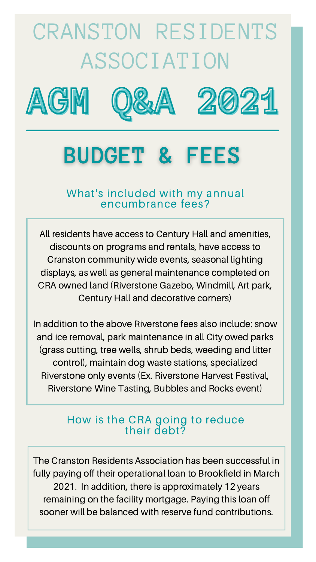### What's included with my annual encumbrance fees?

# CRANSTON RESIDENTS ASSOCIATION







## **BUDGET & FEES**

All residents have access to Century Hall and amenities, discounts on programs and rentals, have access to Cranston community wide events, seasonal lighting displays, as well as general maintenance completed on CRA owned land (Riverstone Gazebo, Windmill, Art park, Century Hall and decorative corners)

In addition to the above Riverstone fees also include: snow and ice removal, park maintenance in all City owed parks (grass cutting, tree wells, shrub beds, weeding and litter control), maintain dog waste stations, specialized Riverstone only events (Ex. Riverstone Harvest Festival, Riverstone Wine Tasting, Bubbles and Rocks event)

### How is the CRA going to reduce their debt?

The Cranston Residents Association has been successful in fully paying off their operational loan to Brookfield in March 2021. In addition, there is approximately 12 years remaining on the facility mortgage. Paying this loan off sooner will be balanced with reserve fund contributions.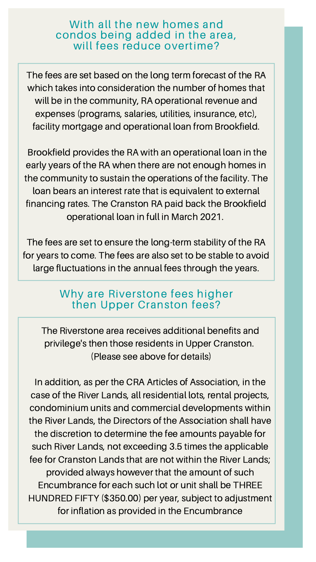### With all the new homes and condos being added in the area, will fees reduce overtime?

The fees are set based on the long term forecast of the RA which takes into consideration the number of homes that will be in the community, RA operational revenue and expenses (programs, salaries, utilities, insurance, etc), facility mortgage and operational loan from Brookfield.

Brookfield provides the RA with an operational loan in the early years of the RA when there are not enough homes in the community to sustain the operations of the facility. The loan bears an interest rate that is equivalent to external financing rates. The Cranston RA paid back the Brookfield operational loan in full in March 2021.

The fees are set to ensure the long-term stability of the RA for years to come. The fees are also set to be stable to avoid large fluctuations in the annual fees through the years.

### Why are Riverstone fees higher then Upper Cranston fees?

The Riverstone area receives additional benefits and privilege's then those residents in Upper Cranston.

(Please see above for details)

In addition, as per the CRA Articles of Association, in the case of the River Lands, all residential lots, rental projects, condominium units and commercial developments within the River Lands, the Directors of the Association shall have the discretion to determine the fee amounts payable for such River Lands, not exceeding 3.5 times the applicable fee for Cranston Lands that are not within the River Lands; provided always however that the amount of such Encumbrance for each such lot or unit shall be THREE HUNDRED FIFTY (\$350.00) per year, subject to adjustment for inflation as provided in the Encumbrance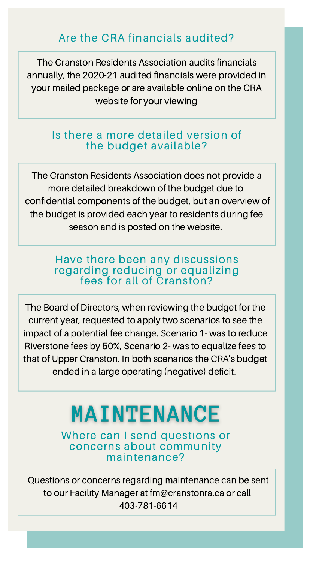### Are the CRA financials audited?

The Cranston Residents Association audits financials annually, the 2020-21 audited financials were provided in your mailed package or are available online on the CRA website for your viewing

### Is there a more detailed version of the budget available?

The Cranston Residents Association does not provide a more detailed breakdown of the budget due to confidential components of the budget, but an overview of the budget is provided each year to residents during fee season and is posted on the website.

### Have there been any discussions regarding reducing or equalizing fees for all of Cranston?

The Board of Directors, when reviewing the budget for the current year, requested to apply two scenarios to see the impact of a potential fee change. Scenario 1- was to reduce Riverstone fees by 50%, Scenario 2- was to equalize fees to

that of Upper Cranston. In both scenarios the CRA's budget ended in a large operating (negative) deficit.

### MAINTENANCE

Where can I send questions or concerns about community maintenance?

Questions or concerns regarding maintenance can be sent to our Facility Manager at [fm@cranstonra.ca](mailto:fm@cranstonra.ca) or call 403-781-6614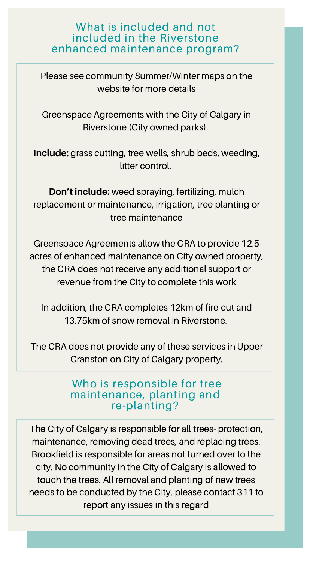### What is included and not included in the Riverstone enhanced maintenance program?

Please see community Summer/Winter maps on the website for more details

Greenspace Agreements with the City of Calgary in Riverstone (City owned parks):

**Include:** grass cutting, tree wells, shrub beds, weeding, litter control.

**Don't include:** weed spraying, fertilizing, mulch replacement or maintenance, irrigation, tree planting or tree maintenance

> Who is responsible for tree maintenance, planting and re-planting?

Greenspace Agreements allow the CRA to provide 12.5 acres of enhanced maintenance on City owned property, the CRA does not receive any additional support or revenue from the City to complete this work

In addition, the CRA completes 12km of fire-cut and 13.75km of snow removal in Riverstone.

The CRA does not provide any of these services in Upper

Cranston on City of Calgary property.

The City of Calgary is responsible for all trees- protection, maintenance, removing dead trees, and replacing trees. Brookfield is responsible for areas not turned over to the city. No community in the City of Calgary is allowed to touch the trees. All removal and planting of new trees needs to be conducted by the City, please contact 311 to report any issues in this regard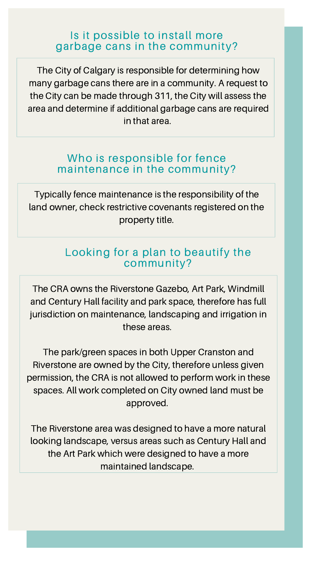### Is it possible to install more garbage cans in the community?

The City of Calgary is responsible for determining how many garbage cans there are in a community. A request to the City can be made through 311, the City will assess the area and determine if additional garbage cans are required in that area.

### Who is responsible for fence maintenance in the community?

Typically fence maintenance is the responsibility of the land owner, check restrictive covenants registered on the property title.

### Looking for a plan to beautify the community?

The CRA owns the Riverstone Gazebo, Art Park, Windmill and Century Hall facility and park space, therefore has full jurisdiction on maintenance, landscaping and irrigation in these areas.

The park/green spaces in both Upper Cranston and Riverstone are owned by the City, therefore unless given permission, the CRA is not allowed to perform work in these spaces. All work completed on City owned land must be approved.

The Riverstone area was designed to have a more natural looking landscape, versus areas such as Century Hall and the Art Park which were designed to have a more maintained landscape.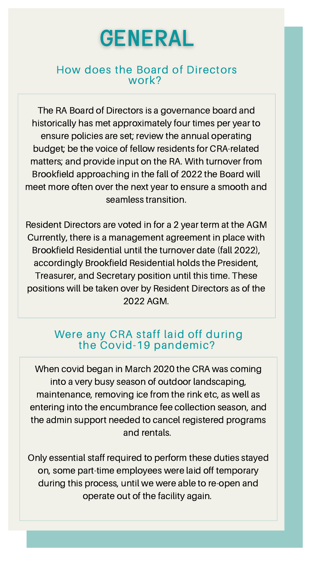

### How does the Board of Directors work?

The RA Board of Directors is a governance board and historically has met approximately four times per year to ensure policies are set; review the annual operating budget; be the voice of fellow residents for CRA-related matters; and provide input on the RA. With turnover from Brookfield approaching in the fall of 2022 the Board will meet more often over the next year to ensure a smooth and seamless transition.

Resident Directors are voted in for a 2 year term at the AGM Currently, there is a management agreement in place with Brookfield Residential until the turnover date (fall 2022), accordingly Brookfield Residential holds the President, Treasurer, and Secretary position until this time. These positions will be taken over by Resident Directors as of the 2022 AGM.

### Were any CRA staff laid off during the Covid-19 pandemic?

When covid began in March 2020 the CRA was coming into a very busy season of outdoor landscaping, maintenance, removing ice from the rink etc, as well as entering into the encumbrance fee collection season, and the admin support needed to cancel registered programs and rentals.

Only essential staff required to perform these duties stayed on, some part-time employees were laid off temporary during this process, until we were able to re-open and operate out of the facility again.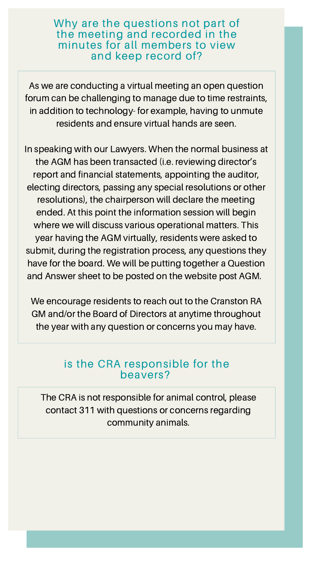Why are the questions not part of the meeting and recorded in the minutes for all members to view and keep record of?

As we are conducting a virtual meeting an open question forum can be challenging to manage due to time restraints, in addition to technology- for example, having to unmute residents and ensure virtual hands are seen.

In speaking with our Lawyers. When the normal business at the AGM has been transacted (i.e. reviewing director's report and financial statements, appointing the auditor, electing directors, passing any special resolutions or other resolutions), the chairperson will declare the meeting ended. At this point the information session will begin where we will discuss various operational matters. This year having the AGM virtually, residents were asked to submit, during the registration process, any questions they have for the board. We will be putting together a Question and Answer sheet to be posted on the website post AGM.

We encourage residents to reach out to the Cranston RA GM and/or the Board of Directors at anytime throughout the year with any question or concerns you may have.

### is the CRA responsible for the beavers?

The CRA is not responsible for animal control, please contact 311 with questions or concerns regarding community animals.